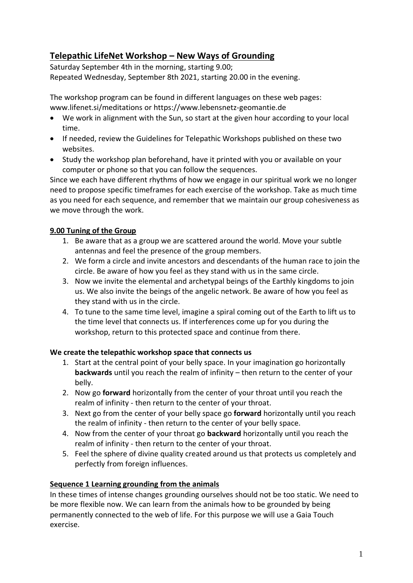# **Telepathic LifeNet Workshop – New Ways of Grounding**

Saturday September 4th in the morning, starting 9.00; Repeated Wednesday, September 8th 2021, starting 20.00 in the evening.

The workshop program can be found in different languages on these web pages: [www.lifenet.si/meditations](http://www.lifenet.si/meditations) or [https://www.lebensnetz-geomantie.de](https://www.lebensnetz-geomantie.de/)

- We work in alignment with the Sun, so start at the given hour according to your local time.
- If needed, review the Guidelines for Telepathic Workshops published on these two websites.
- Study the workshop plan beforehand, have it printed with you or available on your computer or phone so that you can follow the sequences.

Since we each have different rhythms of how we engage in our spiritual work we no longer need to propose specific timeframes for each exercise of the workshop. Take as much time as you need for each sequence, and remember that we maintain our group cohesiveness as we move through the work.

# **9.00 Tuning of the Group**

- 1. Be aware that as a group we are scattered around the world. Move your subtle antennas and feel the presence of the group members.
- 2. We form a circle and invite ancestors and descendants of the human race to join the circle. Be aware of how you feel as they stand with us in the same circle.
- 3. Now we invite the elemental and archetypal beings of the Earthly kingdoms to join us. We also invite the beings of the angelic network. Be aware of how you feel as they stand with us in the circle.
- 4. To tune to the same time level, imagine a spiral coming out of the Earth to lift us to the time level that connects us. If interferences come up for you during the workshop, return to this protected space and continue from there.

#### **We create the telepathic workshop space that connects us**

- 1. Start at the central point of your belly space. In your imagination go horizontally **backwards** until you reach the realm of infinity – then return to the center of your belly.
- 2. Now go **forward** horizontally from the center of your throat until you reach the realm of infinity - then return to the center of your throat.
- 3. Next go from the center of your belly space go **forward** horizontally until you reach the realm of infinity - then return to the center of your belly space.
- 4. Now from the center of your throat go **backward** horizontally until you reach the realm of infinity - then return to the center of your throat.
- 5. Feel the sphere of divine quality created around us that protects us completely and perfectly from foreign influences.

# **Sequence 1 Learning grounding from the animals**

In these times of intense changes grounding ourselves should not be too static. We need to be more flexible now. We can learn from the animals how to be grounded by being permanently connected to the web of life. For this purpose we will use a Gaia Touch exercise.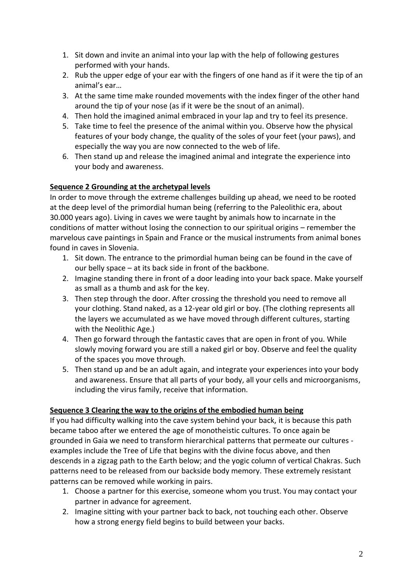- 1. Sit down and invite an animal into your lap with the help of following gestures performed with your hands.
- 2. Rub the upper edge of your ear with the fingers of one hand as if it were the tip of an animal's ear…
- 3. At the same time make rounded movements with the index finger of the other hand around the tip of your nose (as if it were be the snout of an animal).
- 4. Then hold the imagined animal embraced in your lap and try to feel its presence.
- 5. Take time to feel the presence of the animal within you. Observe how the physical features of your body change, the quality of the soles of your feet (your paws), and especially the way you are now connected to the web of life.
- 6. Then stand up and release the imagined animal and integrate the experience into your body and awareness.

# **Sequence 2 Grounding at the archetypal levels**

In order to move through the extreme challenges building up ahead, we need to be rooted at the deep level of the primordial human being (referring to the Paleolithic era, about 30.000 years ago). Living in caves we were taught by animals how to incarnate in the conditions of matter without losing the connection to our spiritual origins – remember the marvelous cave paintings in Spain and France or the musical instruments from animal bones found in caves in Slovenia.

- 1. Sit down. The entrance to the primordial human being can be found in the cave of our belly space – at its back side in front of the backbone.
- 2. Imagine standing there in front of a door leading into your back space. Make yourself as small as a thumb and ask for the key.
- 3. Then step through the door. After crossing the threshold you need to remove all your clothing. Stand naked, as a 12-year old girl or boy. (The clothing represents all the layers we accumulated as we have moved through different cultures, starting with the Neolithic Age.)
- 4. Then go forward through the fantastic caves that are open in front of you. While slowly moving forward you are still a naked girl or boy. Observe and feel the quality of the spaces you move through.
- 5. Then stand up and be an adult again, and integrate your experiences into your body and awareness. Ensure that all parts of your body, all your cells and microorganisms, including the virus family, receive that information.

# **Sequence 3 Clearing the way to the origins of the embodied human being**

If you had difficulty walking into the cave system behind your back, it is because this path became taboo after we entered the age of monotheistic cultures. To once again be grounded in Gaia we need to transform hierarchical patterns that permeate our cultures examples include the Tree of Life that begins with the divine focus above, and then descends in a zigzag path to the Earth below; and the yogic column of vertical Chakras. Such patterns need to be released from our backside body memory. These extremely resistant patterns can be removed while working in pairs.

- 1. Choose a partner for this exercise, someone whom you trust. You may contact your partner in advance for agreement.
- 2. Imagine sitting with your partner back to back, not touching each other. Observe how a strong energy field begins to build between your backs.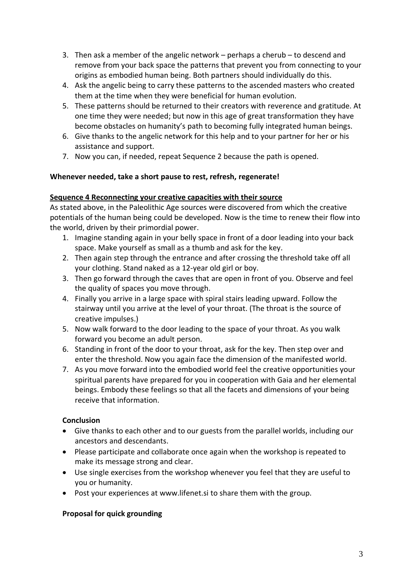- 3. Then ask a member of the angelic network perhaps a cherub to descend and remove from your back space the patterns that prevent you from connecting to your origins as embodied human being. Both partners should individually do this.
- 4. Ask the angelic being to carry these patterns to the ascended masters who created them at the time when they were beneficial for human evolution.
- 5. These patterns should be returned to their creators with reverence and gratitude. At one time they were needed; but now in this age of great transformation they have become obstacles on humanity's path to becoming fully integrated human beings.
- 6. Give thanks to the angelic network for this help and to your partner for her or his assistance and support.
- 7. Now you can, if needed, repeat Sequence 2 because the path is opened.

#### **Whenever needed, take a short pause to rest, refresh, regenerate!**

#### **Sequence 4 Reconnecting your creative capacities with their source**

As stated above, in the Paleolithic Age sources were discovered from which the creative potentials of the human being could be developed. Now is the time to renew their flow into the world, driven by their primordial power.

- 1. Imagine standing again in your belly space in front of a door leading into your back space. Make yourself as small as a thumb and ask for the key.
- 2. Then again step through the entrance and after crossing the threshold take off all your clothing. Stand naked as a 12-year old girl or boy.
- 3. Then go forward through the caves that are open in front of you. Observe and feel the quality of spaces you move through.
- 4. Finally you arrive in a large space with spiral stairs leading upward. Follow the stairway until you arrive at the level of your throat. (The throat is the source of creative impulses.)
- 5. Now walk forward to the door leading to the space of your throat. As you walk forward you become an adult person.
- 6. Standing in front of the door to your throat, ask for the key. Then step over and enter the threshold. Now you again face the dimension of the manifested world.
- 7. As you move forward into the embodied world feel the creative opportunities your spiritual parents have prepared for you in cooperation with Gaia and her elemental beings. Embody these feelings so that all the facets and dimensions of your being receive that information.

# **Conclusion**

- Give thanks to each other and to our guests from the parallel worlds, including our ancestors and descendants.
- Please participate and collaborate once again when the workshop is repeated to make its message strong and clear.
- Use single exercises from the workshop whenever you feel that they are useful to you or humanity.
- Post your experiences at [www.lifenet.si](http://www.lifenet.si/) to share them with the group.

#### **Proposal for quick grounding**